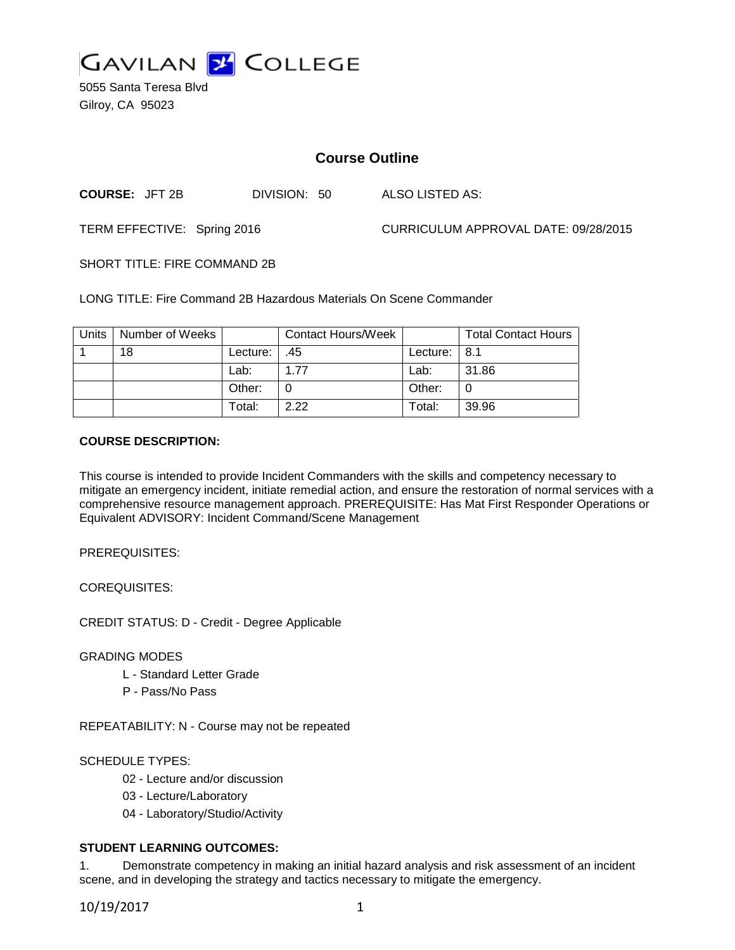

5055 Santa Teresa Blvd Gilroy, CA 95023

# **Course Outline**

**COURSE:** JFT 2B DIVISION: 50 ALSO LISTED AS:

TERM EFFECTIVE: Spring 2016 CURRICULUM APPROVAL DATE: 09/28/2015

SHORT TITLE: FIRE COMMAND 2B

LONG TITLE: Fire Command 2B Hazardous Materials On Scene Commander

| Units | Number of Weeks |          | <b>Contact Hours/Week</b> |                | <b>Total Contact Hours</b> |
|-------|-----------------|----------|---------------------------|----------------|----------------------------|
|       | 18              | Lecture: | .45                       | Lecture: $8.1$ |                            |
|       |                 | Lab:     | 1 77                      | Lab:           | 31.86                      |
|       |                 | Other:   |                           | Other:         |                            |
|       |                 | Total:   | 222                       | Total:         | 39.96                      |

#### **COURSE DESCRIPTION:**

This course is intended to provide Incident Commanders with the skills and competency necessary to mitigate an emergency incident, initiate remedial action, and ensure the restoration of normal services with a comprehensive resource management approach. PREREQUISITE: Has Mat First Responder Operations or Equivalent ADVISORY: Incident Command/Scene Management

PREREQUISITES:

COREQUISITES:

CREDIT STATUS: D - Credit - Degree Applicable

GRADING MODES

- L Standard Letter Grade
- P Pass/No Pass

REPEATABILITY: N - Course may not be repeated

### SCHEDULE TYPES:

- 02 Lecture and/or discussion
- 03 Lecture/Laboratory
- 04 Laboratory/Studio/Activity

### **STUDENT LEARNING OUTCOMES:**

1. Demonstrate competency in making an initial hazard analysis and risk assessment of an incident scene, and in developing the strategy and tactics necessary to mitigate the emergency.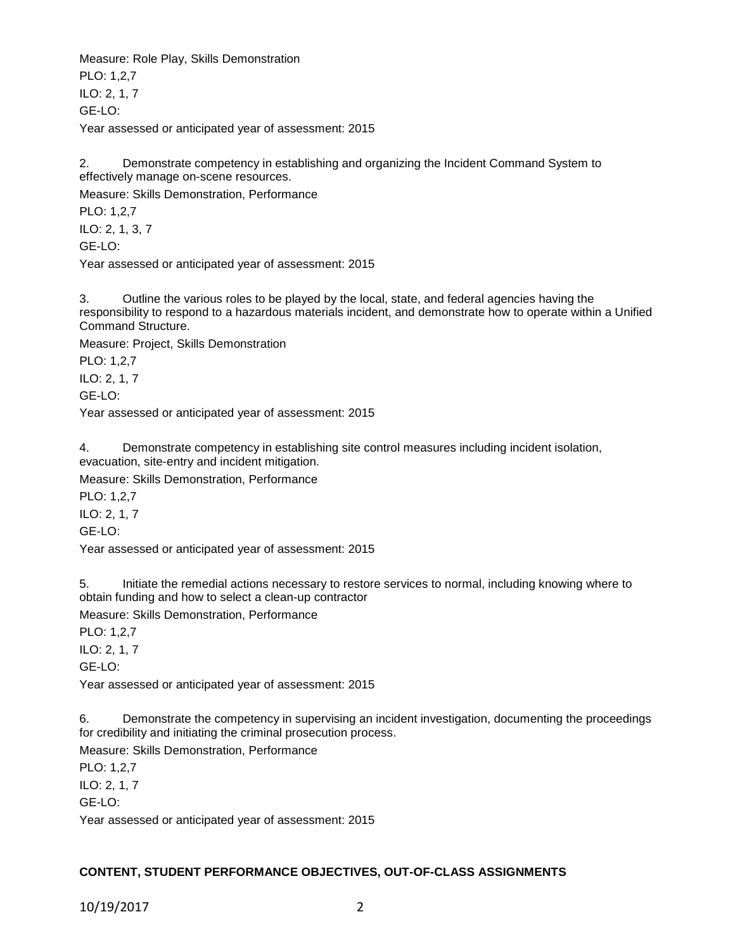Measure: Role Play, Skills Demonstration

PLO: 1,2,7 ILO: 2, 1, 7 GE-LO:

Year assessed or anticipated year of assessment: 2015

2. Demonstrate competency in establishing and organizing the Incident Command System to effectively manage on-scene resources.

Measure: Skills Demonstration, Performance

PLO: 1,2,7

ILO: 2, 1, 3, 7

GE-LO:

Year assessed or anticipated year of assessment: 2015

3. Outline the various roles to be played by the local, state, and federal agencies having the responsibility to respond to a hazardous materials incident, and demonstrate how to operate within a Unified Command Structure.

Measure: Project, Skills Demonstration

PLO: 1,2,7

ILO: 2, 1, 7

GE-LO:

Year assessed or anticipated year of assessment: 2015

4. Demonstrate competency in establishing site control measures including incident isolation, evacuation, site-entry and incident mitigation.

Measure: Skills Demonstration, Performance

PLO: 1,2,7

ILO: 2, 1, 7

GE-LO:

Year assessed or anticipated year of assessment: 2015

5. Initiate the remedial actions necessary to restore services to normal, including knowing where to obtain funding and how to select a clean-up contractor

Measure: Skills Demonstration, Performance

PLO: 1,2,7

ILO: 2, 1, 7

GE-LO:

Year assessed or anticipated year of assessment: 2015

6. Demonstrate the competency in supervising an incident investigation, documenting the proceedings for credibility and initiating the criminal prosecution process.

Measure: Skills Demonstration, Performance

PLO: 1,2,7 ILO: 2, 1, 7 GE-LO:

Year assessed or anticipated year of assessment: 2015

## **CONTENT, STUDENT PERFORMANCE OBJECTIVES, OUT-OF-CLASS ASSIGNMENTS**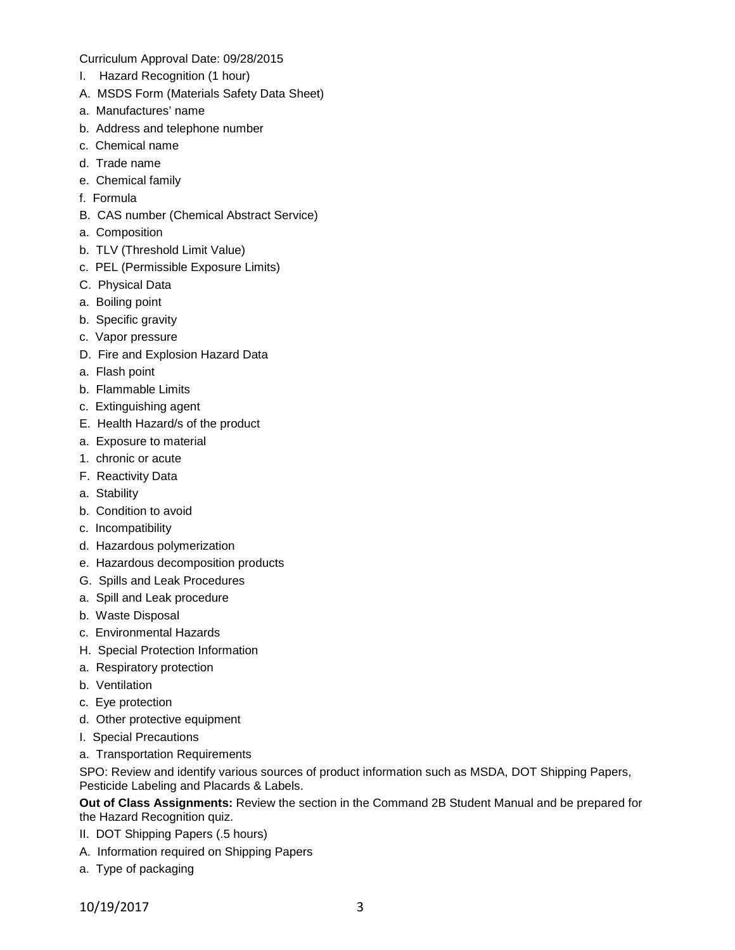Curriculum Approval Date: 09/28/2015

- I. Hazard Recognition (1 hour)
- A. MSDS Form (Materials Safety Data Sheet)
- a. Manufactures' name
- b. Address and telephone number
- c. Chemical name
- d. Trade name
- e. Chemical family
- f. Formula
- B. CAS number (Chemical Abstract Service)
- a. Composition
- b. TLV (Threshold Limit Value)
- c. PEL (Permissible Exposure Limits)
- C. Physical Data
- a. Boiling point
- b. Specific gravity
- c. Vapor pressure
- D. Fire and Explosion Hazard Data
- a. Flash point
- b. Flammable Limits
- c. Extinguishing agent
- E. Health Hazard/s of the product
- a. Exposure to material
- 1. chronic or acute
- F. Reactivity Data
- a. Stability
- b. Condition to avoid
- c. Incompatibility
- d. Hazardous polymerization
- e. Hazardous decomposition products
- G. Spills and Leak Procedures
- a. Spill and Leak procedure
- b. Waste Disposal
- c. Environmental Hazards
- H. Special Protection Information
- a. Respiratory protection
- b. Ventilation
- c. Eye protection
- d. Other protective equipment
- I. Special Precautions
- a. Transportation Requirements

SPO: Review and identify various sources of product information such as MSDA, DOT Shipping Papers, Pesticide Labeling and Placards & Labels.

**Out of Class Assignments:** Review the section in the Command 2B Student Manual and be prepared for the Hazard Recognition quiz.

- II. DOT Shipping Papers (.5 hours)
- A. Information required on Shipping Papers
- a. Type of packaging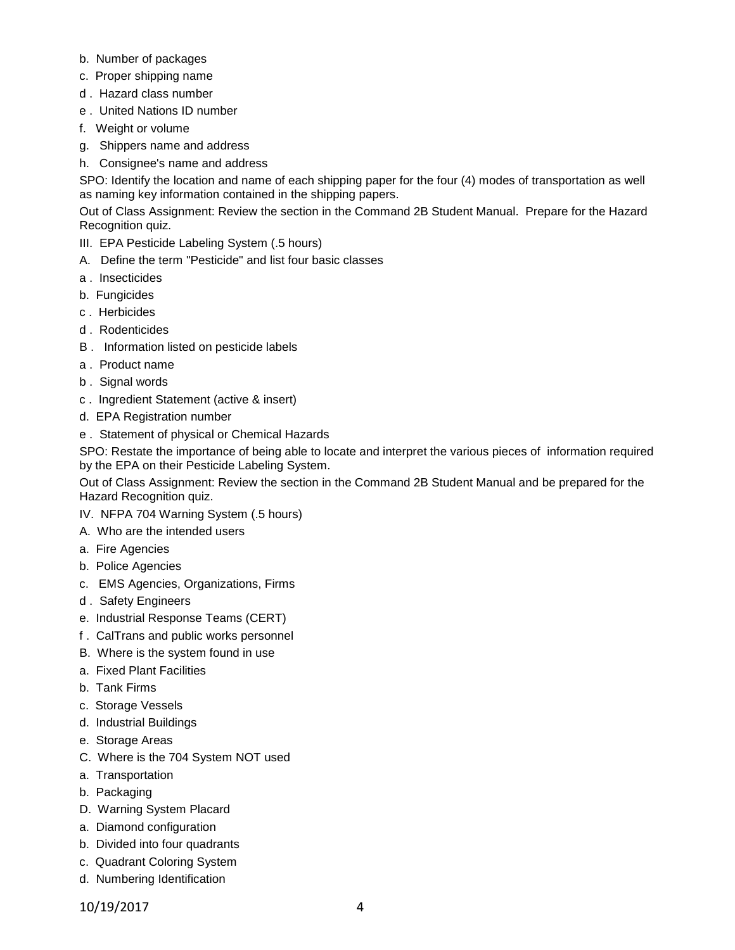- b. Number of packages
- c. Proper shipping name
- d . Hazard class number
- e . United Nations ID number
- f. Weight or volume
- g. Shippers name and address
- h. Consignee's name and address

SPO: Identify the location and name of each shipping paper for the four (4) modes of transportation as well as naming key information contained in the shipping papers.

Out of Class Assignment: Review the section in the Command 2B Student Manual. Prepare for the Hazard Recognition quiz.

- III. EPA Pesticide Labeling System (.5 hours)
- A. Define the term "Pesticide" and list four basic classes
- a . Insecticides
- b. Fungicides
- c . Herbicides
- d . Rodenticides
- B . Information listed on pesticide labels
- a . Product name
- b . Signal words
- c . Ingredient Statement (active & insert)
- d. EPA Registration number
- e . Statement of physical or Chemical Hazards

SPO: Restate the importance of being able to locate and interpret the various pieces of information required by the EPA on their Pesticide Labeling System.

Out of Class Assignment: Review the section in the Command 2B Student Manual and be prepared for the Hazard Recognition quiz.

- IV. NFPA 704 Warning System (.5 hours)
- A. Who are the intended users
- a. Fire Agencies
- b. Police Agencies
- c. EMS Agencies, Organizations, Firms
- d . Safety Engineers
- e. Industrial Response Teams (CERT)
- f . CalTrans and public works personnel
- B. Where is the system found in use
- a. Fixed Plant Facilities
- b. Tank Firms
- c. Storage Vessels
- d. Industrial Buildings
- e. Storage Areas
- C. Where is the 704 System NOT used
- a. Transportation
- b. Packaging
- D. Warning System Placard
- a. Diamond configuration
- b. Divided into four quadrants
- c. Quadrant Coloring System
- d. Numbering Identification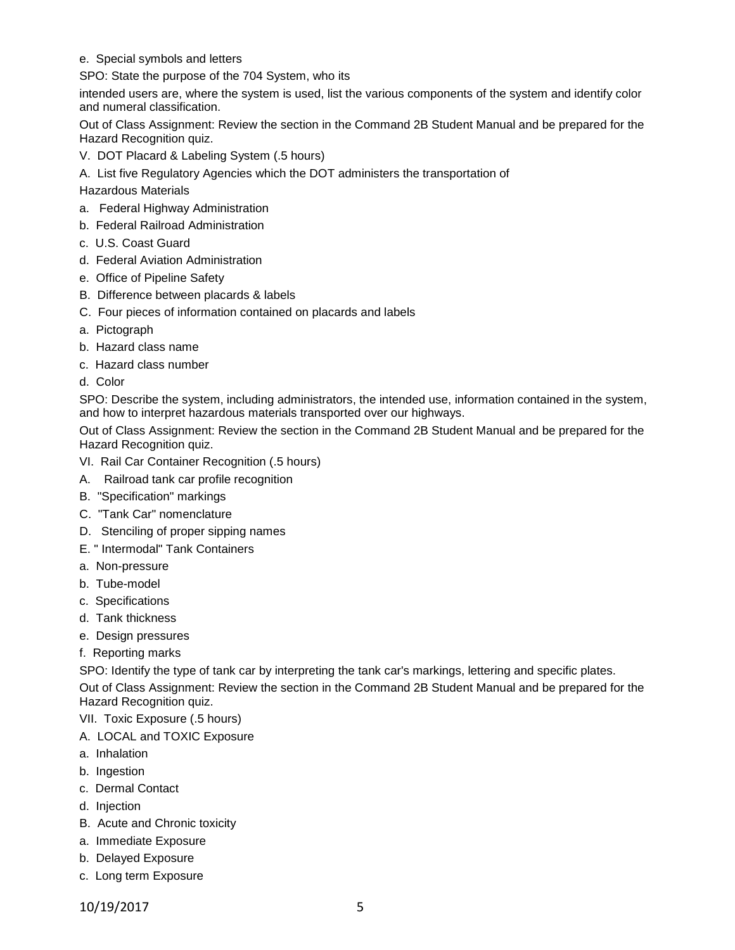e. Special symbols and letters

SPO: State the purpose of the 704 System, who its

intended users are, where the system is used, list the various components of the system and identify color and numeral classification.

Out of Class Assignment: Review the section in the Command 2B Student Manual and be prepared for the Hazard Recognition quiz.

- V. DOT Placard & Labeling System (.5 hours)
- A. List five Regulatory Agencies which the DOT administers the transportation of

Hazardous Materials

- a. Federal Highway Administration
- b. Federal Railroad Administration
- c. U.S. Coast Guard
- d. Federal Aviation Administration
- e. Office of Pipeline Safety
- B. Difference between placards & labels
- C. Four pieces of information contained on placards and labels
- a. Pictograph
- b. Hazard class name
- c. Hazard class number
- d. Color

SPO: Describe the system, including administrators, the intended use, information contained in the system, and how to interpret hazardous materials transported over our highways.

Out of Class Assignment: Review the section in the Command 2B Student Manual and be prepared for the Hazard Recognition quiz.

- VI. Rail Car Container Recognition (.5 hours)
- A. Railroad tank car profile recognition
- B. "Specification" markings
- C. "Tank Car" nomenclature
- D. Stenciling of proper sipping names
- E. " Intermodal" Tank Containers
- a. Non-pressure
- b. Tube-model
- c. Specifications
- d. Tank thickness
- e. Design pressures
- f. Reporting marks

SPO: Identify the type of tank car by interpreting the tank car's markings, lettering and specific plates. Out of Class Assignment: Review the section in the Command 2B Student Manual and be prepared for the Hazard Recognition quiz.

VII. Toxic Exposure (.5 hours)

- A. LOCAL and TOXIC Exposure
- a. Inhalation
- b. Ingestion
- c. Dermal Contact
- d. Injection
- B. Acute and Chronic toxicity
- a. Immediate Exposure
- b. Delayed Exposure
- c. Long term Exposure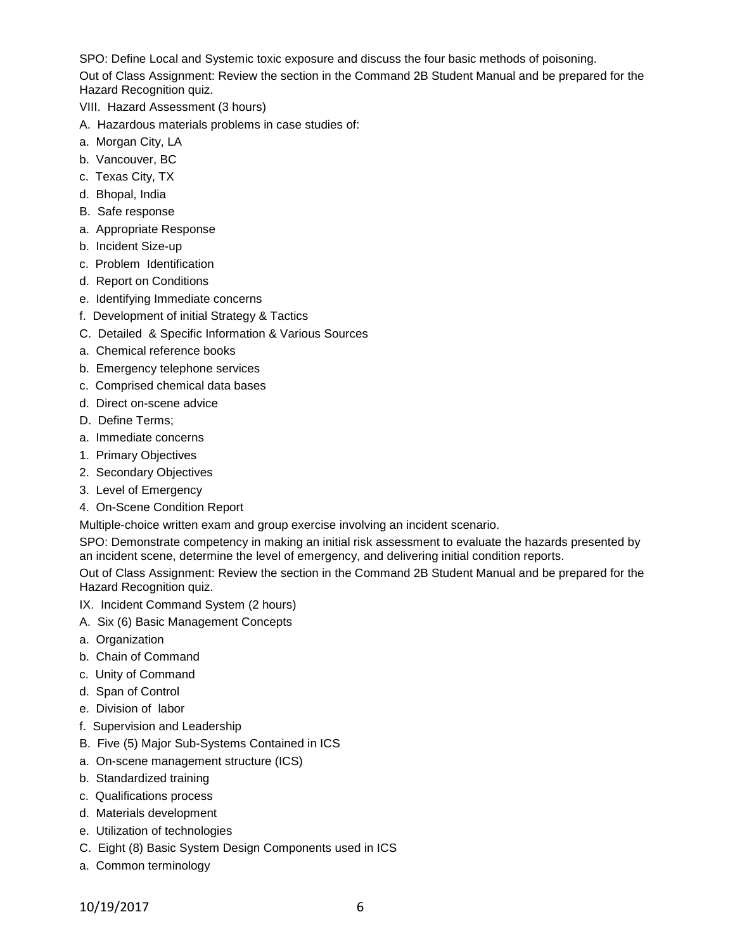SPO: Define Local and Systemic toxic exposure and discuss the four basic methods of poisoning. Out of Class Assignment: Review the section in the Command 2B Student Manual and be prepared for the Hazard Recognition quiz.

- VIII. Hazard Assessment (3 hours)
- A. Hazardous materials problems in case studies of:
- a. Morgan City, LA
- b. Vancouver, BC
- c. Texas City, TX
- d. Bhopal, India
- B. Safe response
- a. Appropriate Response
- b. Incident Size-up
- c. Problem Identification
- d. Report on Conditions
- e. Identifying Immediate concerns
- f. Development of initial Strategy & Tactics
- C. Detailed & Specific Information & Various Sources
- a. Chemical reference books
- b. Emergency telephone services
- c. Comprised chemical data bases
- d. Direct on-scene advice
- D. Define Terms;
- a. Immediate concerns
- 1. Primary Objectives
- 2. Secondary Objectives
- 3. Level of Emergency
- 4. On-Scene Condition Report

Multiple-choice written exam and group exercise involving an incident scenario.

SPO: Demonstrate competency in making an initial risk assessment to evaluate the hazards presented by an incident scene, determine the level of emergency, and delivering initial condition reports.

Out of Class Assignment: Review the section in the Command 2B Student Manual and be prepared for the Hazard Recognition quiz.

- IX. Incident Command System (2 hours)
- A. Six (6) Basic Management Concepts
- a. Organization
- b. Chain of Command
- c. Unity of Command
- d. Span of Control
- e. Division of labor
- f. Supervision and Leadership
- B. Five (5) Major Sub-Systems Contained in ICS
- a. On-scene management structure (ICS)
- b. Standardized training
- c. Qualifications process
- d. Materials development
- e. Utilization of technologies
- C. Eight (8) Basic System Design Components used in ICS
- a. Common terminology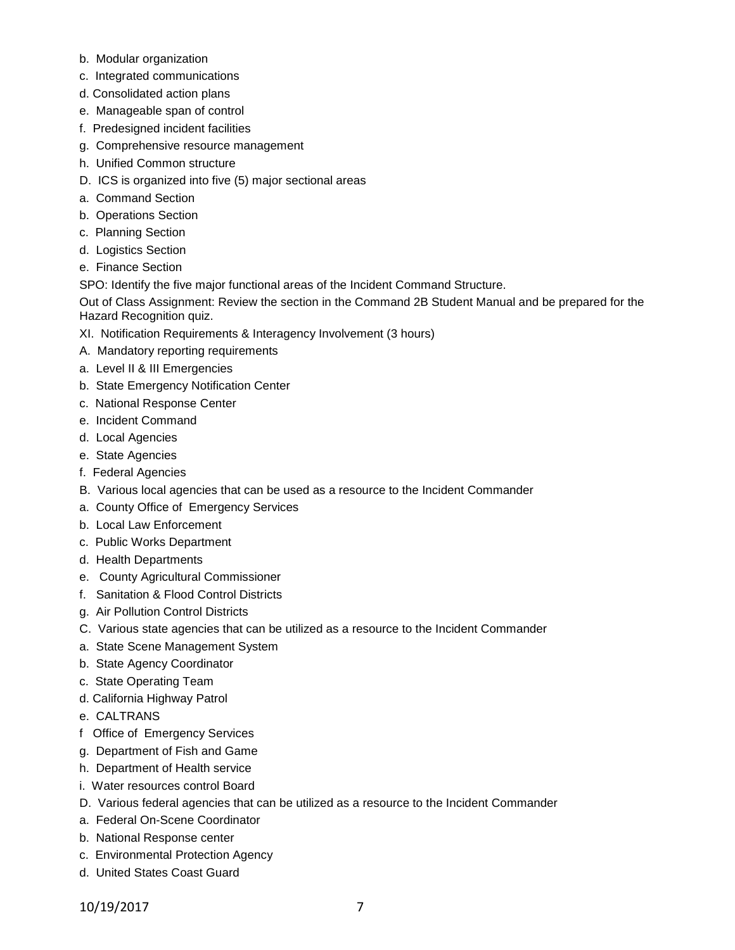- b. Modular organization
- c. Integrated communications
- d. Consolidated action plans
- e. Manageable span of control
- f. Predesigned incident facilities
- g. Comprehensive resource management
- h. Unified Common structure
- D. ICS is organized into five (5) major sectional areas
- a. Command Section
- b. Operations Section
- c. Planning Section
- d. Logistics Section
- e. Finance Section

SPO: Identify the five major functional areas of the Incident Command Structure.

Out of Class Assignment: Review the section in the Command 2B Student Manual and be prepared for the Hazard Recognition quiz.

- XI. Notification Requirements & Interagency Involvement (3 hours)
- A. Mandatory reporting requirements
- a. Level II & III Emergencies
- b. State Emergency Notification Center
- c. National Response Center
- e. Incident Command
- d. Local Agencies
- e. State Agencies
- f. Federal Agencies
- B. Various local agencies that can be used as a resource to the Incident Commander
- a. County Office of Emergency Services
- b. Local Law Enforcement
- c. Public Works Department
- d. Health Departments
- e. County Agricultural Commissioner
- f. Sanitation & Flood Control Districts
- g. Air Pollution Control Districts
- C. Various state agencies that can be utilized as a resource to the Incident Commander
- a. State Scene Management System
- b. State Agency Coordinator
- c. State Operating Team
- d. California Highway Patrol
- e. CALTRANS
- f Office of Emergency Services
- g. Department of Fish and Game
- h. Department of Health service
- i. Water resources control Board
- D. Various federal agencies that can be utilized as a resource to the Incident Commander
- a. Federal On-Scene Coordinator
- b. National Response center
- c. Environmental Protection Agency
- d. United States Coast Guard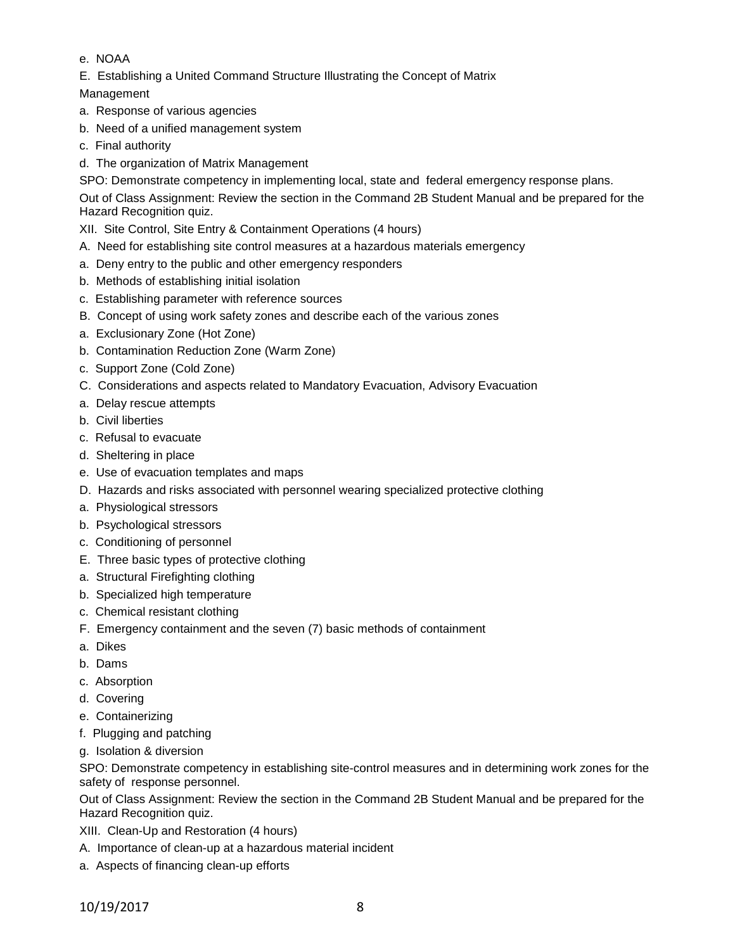- e. NOAA
- E. Establishing a United Command Structure Illustrating the Concept of Matrix

Management

- a. Response of various agencies
- b. Need of a unified management system
- c. Final authority
- d. The organization of Matrix Management

SPO: Demonstrate competency in implementing local, state and federal emergency response plans.

Out of Class Assignment: Review the section in the Command 2B Student Manual and be prepared for the Hazard Recognition quiz.

- XII. Site Control, Site Entry & Containment Operations (4 hours)
- A. Need for establishing site control measures at a hazardous materials emergency
- a. Deny entry to the public and other emergency responders
- b. Methods of establishing initial isolation
- c. Establishing parameter with reference sources
- B. Concept of using work safety zones and describe each of the various zones
- a. Exclusionary Zone (Hot Zone)
- b. Contamination Reduction Zone (Warm Zone)
- c. Support Zone (Cold Zone)
- C. Considerations and aspects related to Mandatory Evacuation, Advisory Evacuation
- a. Delay rescue attempts
- b. Civil liberties
- c. Refusal to evacuate
- d. Sheltering in place
- e. Use of evacuation templates and maps
- D. Hazards and risks associated with personnel wearing specialized protective clothing
- a. Physiological stressors
- b. Psychological stressors
- c. Conditioning of personnel
- E. Three basic types of protective clothing
- a. Structural Firefighting clothing
- b. Specialized high temperature
- c. Chemical resistant clothing
- F. Emergency containment and the seven (7) basic methods of containment
- a. Dikes
- b. Dams
- c. Absorption
- d. Covering
- e. Containerizing
- f. Plugging and patching
- g. Isolation & diversion

SPO: Demonstrate competency in establishing site-control measures and in determining work zones for the safety of response personnel.

Out of Class Assignment: Review the section in the Command 2B Student Manual and be prepared for the Hazard Recognition quiz.

- XIII. Clean-Up and Restoration (4 hours)
- A. Importance of clean-up at a hazardous material incident
- a. Aspects of financing clean-up efforts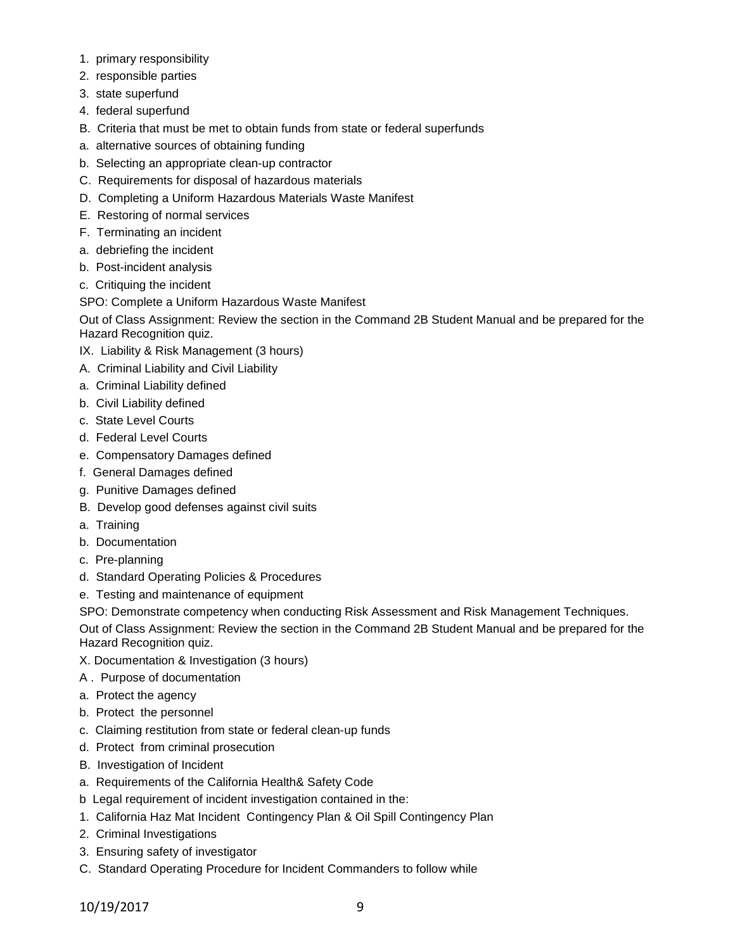- 1. primary responsibility
- 2. responsible parties
- 3. state superfund
- 4. federal superfund
- B. Criteria that must be met to obtain funds from state or federal superfunds
- a. alternative sources of obtaining funding
- b. Selecting an appropriate clean-up contractor
- C. Requirements for disposal of hazardous materials
- D. Completing a Uniform Hazardous Materials Waste Manifest
- E. Restoring of normal services
- F. Terminating an incident
- a. debriefing the incident
- b. Post-incident analysis
- c. Critiquing the incident

## SPO: Complete a Uniform Hazardous Waste Manifest

Out of Class Assignment: Review the section in the Command 2B Student Manual and be prepared for the Hazard Recognition quiz.

- IX. Liability & Risk Management (3 hours)
- A. Criminal Liability and Civil Liability
- a. Criminal Liability defined
- b. Civil Liability defined
- c. State Level Courts
- d. Federal Level Courts
- e. Compensatory Damages defined
- f. General Damages defined
- g. Punitive Damages defined
- B. Develop good defenses against civil suits
- a. Training
- b. Documentation
- c. Pre-planning
- d. Standard Operating Policies & Procedures
- e. Testing and maintenance of equipment

SPO: Demonstrate competency when conducting Risk Assessment and Risk Management Techniques.

Out of Class Assignment: Review the section in the Command 2B Student Manual and be prepared for the Hazard Recognition quiz.

- X. Documentation & Investigation (3 hours)
- A . Purpose of documentation
- a. Protect the agency
- b. Protect the personnel
- c. Claiming restitution from state or federal clean-up funds
- d. Protect from criminal prosecution
- B. Investigation of Incident
- a. Requirements of the California Health& Safety Code
- b Legal requirement of incident investigation contained in the:
- 1. California Haz Mat Incident Contingency Plan & Oil Spill Contingency Plan
- 2. Criminal Investigations
- 3. Ensuring safety of investigator
- C. Standard Operating Procedure for Incident Commanders to follow while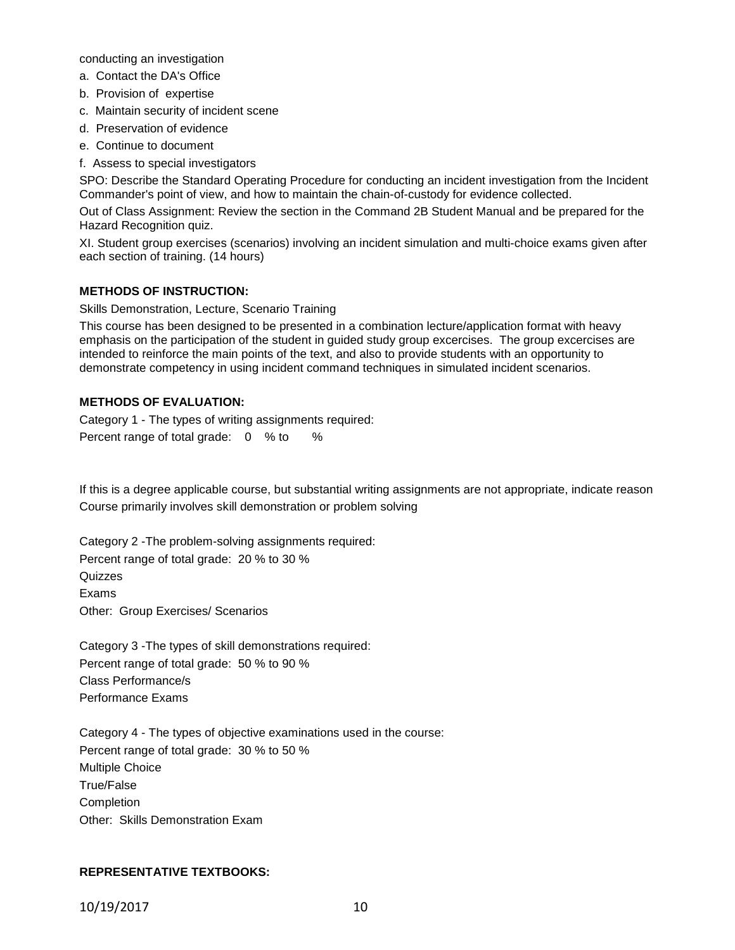conducting an investigation

- a. Contact the DA's Office
- b. Provision of expertise
- c. Maintain security of incident scene
- d. Preservation of evidence
- e. Continue to document
- f. Assess to special investigators

SPO: Describe the Standard Operating Procedure for conducting an incident investigation from the Incident Commander's point of view, and how to maintain the chain-of-custody for evidence collected.

Out of Class Assignment: Review the section in the Command 2B Student Manual and be prepared for the Hazard Recognition quiz.

XI. Student group exercises (scenarios) involving an incident simulation and multi-choice exams given after each section of training. (14 hours)

#### **METHODS OF INSTRUCTION:**

Skills Demonstration, Lecture, Scenario Training

This course has been designed to be presented in a combination lecture/application format with heavy emphasis on the participation of the student in guided study group excercises. The group excercises are intended to reinforce the main points of the text, and also to provide students with an opportunity to demonstrate competency in using incident command techniques in simulated incident scenarios.

### **METHODS OF EVALUATION:**

Category 1 - The types of writing assignments required: Percent range of total grade: 0 % to %

If this is a degree applicable course, but substantial writing assignments are not appropriate, indicate reason Course primarily involves skill demonstration or problem solving

Category 2 -The problem-solving assignments required: Percent range of total grade: 20 % to 30 % Quizzes Exams Other: Group Exercises/ Scenarios

Category 3 -The types of skill demonstrations required: Percent range of total grade: 50 % to 90 % Class Performance/s Performance Exams

Category 4 - The types of objective examinations used in the course: Percent range of total grade: 30 % to 50 % Multiple Choice True/False **Completion** Other: Skills Demonstration Exam

### **REPRESENTATIVE TEXTBOOKS:**